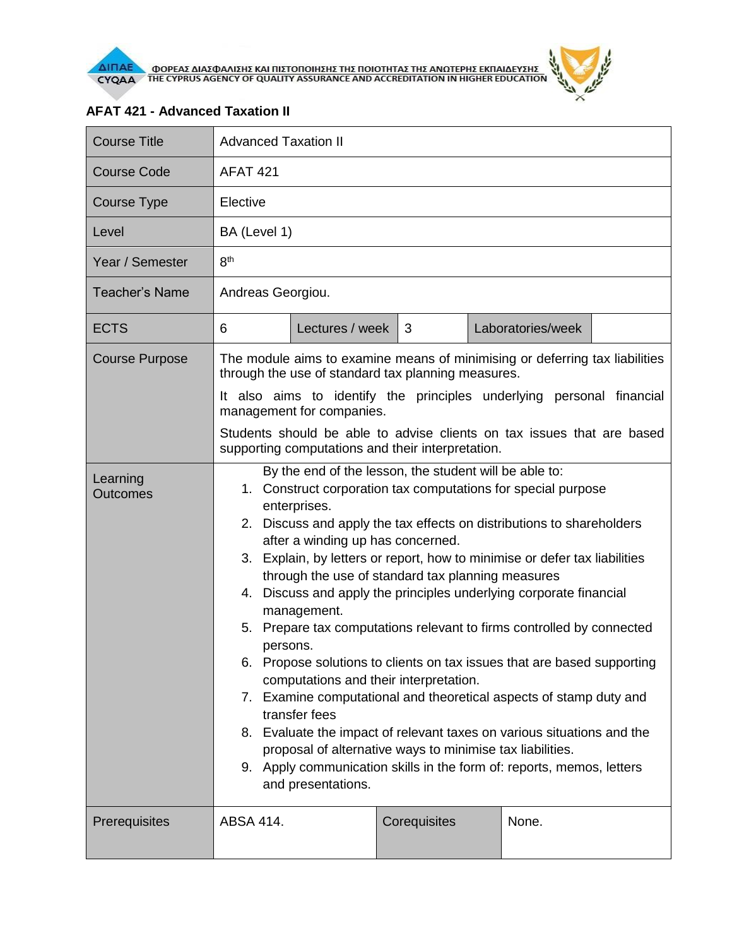

 $\theta$ 

| <b>Course Title</b>         | <b>Advanced Taxation II</b>                                                                                                                                                                                                                                                                                                                                                                                                                                                                                                                                                                                                                                                                                                                                                                                                                                                                                                                                                                                             |                 |              |  |                   |  |  |  |
|-----------------------------|-------------------------------------------------------------------------------------------------------------------------------------------------------------------------------------------------------------------------------------------------------------------------------------------------------------------------------------------------------------------------------------------------------------------------------------------------------------------------------------------------------------------------------------------------------------------------------------------------------------------------------------------------------------------------------------------------------------------------------------------------------------------------------------------------------------------------------------------------------------------------------------------------------------------------------------------------------------------------------------------------------------------------|-----------------|--------------|--|-------------------|--|--|--|
| <b>Course Code</b>          | <b>AFAT 421</b>                                                                                                                                                                                                                                                                                                                                                                                                                                                                                                                                                                                                                                                                                                                                                                                                                                                                                                                                                                                                         |                 |              |  |                   |  |  |  |
| Course Type                 | Elective                                                                                                                                                                                                                                                                                                                                                                                                                                                                                                                                                                                                                                                                                                                                                                                                                                                                                                                                                                                                                |                 |              |  |                   |  |  |  |
| Level                       | BA (Level 1)                                                                                                                                                                                                                                                                                                                                                                                                                                                                                                                                                                                                                                                                                                                                                                                                                                                                                                                                                                                                            |                 |              |  |                   |  |  |  |
| Year / Semester             | 8 <sup>th</sup>                                                                                                                                                                                                                                                                                                                                                                                                                                                                                                                                                                                                                                                                                                                                                                                                                                                                                                                                                                                                         |                 |              |  |                   |  |  |  |
| <b>Teacher's Name</b>       | Andreas Georgiou.                                                                                                                                                                                                                                                                                                                                                                                                                                                                                                                                                                                                                                                                                                                                                                                                                                                                                                                                                                                                       |                 |              |  |                   |  |  |  |
| <b>ECTS</b>                 | 6                                                                                                                                                                                                                                                                                                                                                                                                                                                                                                                                                                                                                                                                                                                                                                                                                                                                                                                                                                                                                       | Lectures / week | 3            |  | Laboratories/week |  |  |  |
| <b>Course Purpose</b>       | The module aims to examine means of minimising or deferring tax liabilities<br>through the use of standard tax planning measures.                                                                                                                                                                                                                                                                                                                                                                                                                                                                                                                                                                                                                                                                                                                                                                                                                                                                                       |                 |              |  |                   |  |  |  |
|                             | It also aims to identify the principles underlying personal financial<br>management for companies.                                                                                                                                                                                                                                                                                                                                                                                                                                                                                                                                                                                                                                                                                                                                                                                                                                                                                                                      |                 |              |  |                   |  |  |  |
|                             | Students should be able to advise clients on tax issues that are based<br>supporting computations and their interpretation.                                                                                                                                                                                                                                                                                                                                                                                                                                                                                                                                                                                                                                                                                                                                                                                                                                                                                             |                 |              |  |                   |  |  |  |
| Learning<br><b>Outcomes</b> | By the end of the lesson, the student will be able to:<br>1. Construct corporation tax computations for special purpose<br>enterprises.<br>2. Discuss and apply the tax effects on distributions to shareholders<br>after a winding up has concerned.<br>3. Explain, by letters or report, how to minimise or defer tax liabilities<br>through the use of standard tax planning measures<br>4. Discuss and apply the principles underlying corporate financial<br>management.<br>5. Prepare tax computations relevant to firms controlled by connected<br>persons.<br>Propose solutions to clients on tax issues that are based supporting<br>6.<br>computations and their interpretation.<br>7. Examine computational and theoretical aspects of stamp duty and<br>transfer fees<br>8. Evaluate the impact of relevant taxes on various situations and the<br>proposal of alternative ways to minimise tax liabilities.<br>9. Apply communication skills in the form of: reports, memos, letters<br>and presentations. |                 |              |  |                   |  |  |  |
| Prerequisites               | <b>ABSA 414.</b>                                                                                                                                                                                                                                                                                                                                                                                                                                                                                                                                                                                                                                                                                                                                                                                                                                                                                                                                                                                                        |                 | Corequisites |  | None.             |  |  |  |

## **AFAT 421 - Advanced Taxation II**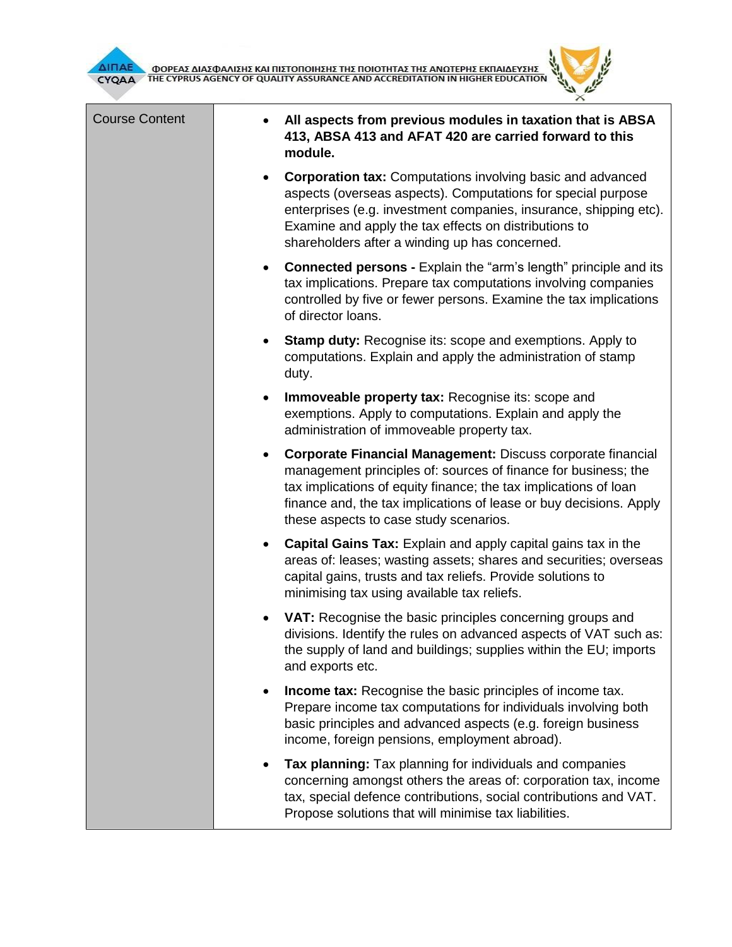



| <b>Course Content</b> | All aspects from previous modules in taxation that is ABSA<br>413, ABSA 413 and AFAT 420 are carried forward to this<br>module.                                                                                                                                                                                                |
|-----------------------|--------------------------------------------------------------------------------------------------------------------------------------------------------------------------------------------------------------------------------------------------------------------------------------------------------------------------------|
|                       | <b>Corporation tax:</b> Computations involving basic and advanced<br>$\bullet$<br>aspects (overseas aspects). Computations for special purpose<br>enterprises (e.g. investment companies, insurance, shipping etc).<br>Examine and apply the tax effects on distributions to<br>shareholders after a winding up has concerned. |
|                       | <b>Connected persons - Explain the "arm's length" principle and its</b><br>$\bullet$<br>tax implications. Prepare tax computations involving companies<br>controlled by five or fewer persons. Examine the tax implications<br>of director loans.                                                                              |
|                       | <b>Stamp duty:</b> Recognise its: scope and exemptions. Apply to<br>$\bullet$<br>computations. Explain and apply the administration of stamp<br>duty.                                                                                                                                                                          |
|                       | Immoveable property tax: Recognise its: scope and<br>$\bullet$<br>exemptions. Apply to computations. Explain and apply the<br>administration of immoveable property tax.                                                                                                                                                       |
|                       | Corporate Financial Management: Discuss corporate financial<br>$\bullet$<br>management principles of: sources of finance for business; the<br>tax implications of equity finance; the tax implications of loan<br>finance and, the tax implications of lease or buy decisions. Apply<br>these aspects to case study scenarios. |
|                       | Capital Gains Tax: Explain and apply capital gains tax in the<br>$\bullet$<br>areas of: leases; wasting assets; shares and securities; overseas<br>capital gains, trusts and tax reliefs. Provide solutions to<br>minimising tax using available tax reliefs.                                                                  |
|                       | VAT: Recognise the basic principles concerning groups and<br>٠<br>divisions. Identify the rules on advanced aspects of VAT such as:<br>the supply of land and buildings; supplies within the EU; imports<br>and exports etc.                                                                                                   |
|                       | <b>Income tax:</b> Recognise the basic principles of income tax.<br>$\bullet$<br>Prepare income tax computations for individuals involving both<br>basic principles and advanced aspects (e.g. foreign business<br>income, foreign pensions, employment abroad).                                                               |
|                       | Tax planning: Tax planning for individuals and companies<br>concerning amongst others the areas of: corporation tax, income<br>tax, special defence contributions, social contributions and VAT.<br>Propose solutions that will minimise tax liabilities.                                                                      |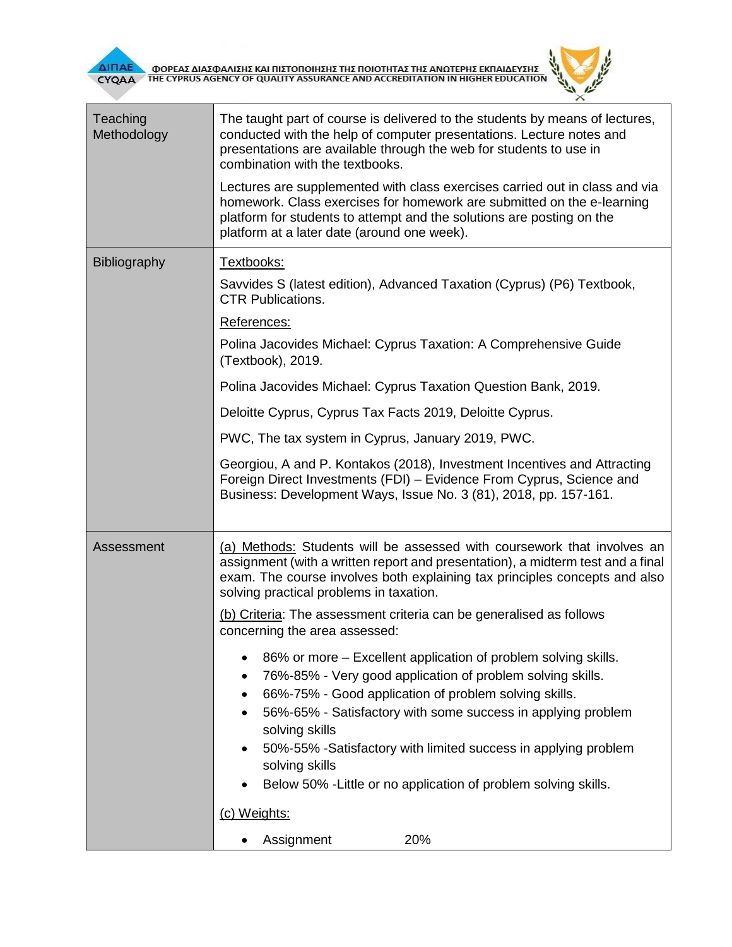



| Teaching<br>Methodology | The taught part of course is delivered to the students by means of lectures,<br>conducted with the help of computer presentations. Lecture notes and<br>presentations are available through the web for students to use in<br>combination with the textbooks.<br>Lectures are supplemented with class exercises carried out in class and via<br>homework. Class exercises for homework are submitted on the e-learning<br>platform for students to attempt and the solutions are posting on the<br>platform at a later date (around one week).                                                                                                                                                                                                                                                                                                                          |  |  |  |
|-------------------------|-------------------------------------------------------------------------------------------------------------------------------------------------------------------------------------------------------------------------------------------------------------------------------------------------------------------------------------------------------------------------------------------------------------------------------------------------------------------------------------------------------------------------------------------------------------------------------------------------------------------------------------------------------------------------------------------------------------------------------------------------------------------------------------------------------------------------------------------------------------------------|--|--|--|
| Bibliography            | Textbooks:<br>Savvides S (latest edition), Advanced Taxation (Cyprus) (P6) Textbook,<br><b>CTR Publications.</b><br>References:<br>Polina Jacovides Michael: Cyprus Taxation: A Comprehensive Guide<br>(Textbook), 2019.<br>Polina Jacovides Michael: Cyprus Taxation Question Bank, 2019.<br>Deloitte Cyprus, Cyprus Tax Facts 2019, Deloitte Cyprus.<br>PWC, The tax system in Cyprus, January 2019, PWC.<br>Georgiou, A and P. Kontakos (2018), Investment Incentives and Attracting<br>Foreign Direct Investments (FDI) - Evidence From Cyprus, Science and<br>Business: Development Ways, Issue No. 3 (81), 2018, pp. 157-161.                                                                                                                                                                                                                                     |  |  |  |
| Assessment              | (a) Methods: Students will be assessed with coursework that involves an<br>assignment (with a written report and presentation), a midterm test and a final<br>exam. The course involves both explaining tax principles concepts and also<br>solving practical problems in taxation.<br>(b) Criteria: The assessment criteria can be generalised as follows<br>concerning the area assessed:<br>86% or more – Excellent application of problem solving skills.<br>76%-85% - Very good application of problem solving skills.<br>66%-75% - Good application of problem solving skills.<br>56%-65% - Satisfactory with some success in applying problem<br>solving skills<br>50%-55% -Satisfactory with limited success in applying problem<br>٠<br>solving skills<br>Below 50% - Little or no application of problem solving skills.<br>(c) Weights:<br>20%<br>Assignment |  |  |  |